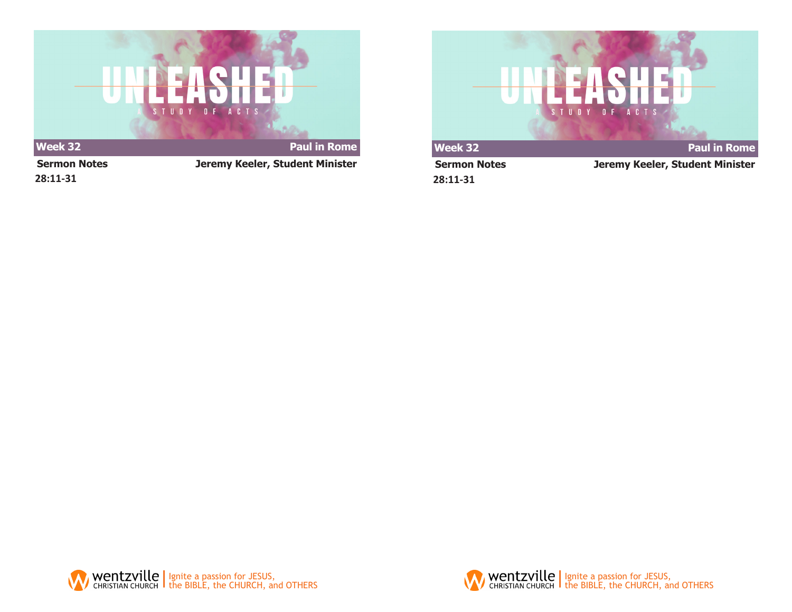

**28:11-31**

**Sermon Notes Jeremy Keeler, Student Minister**